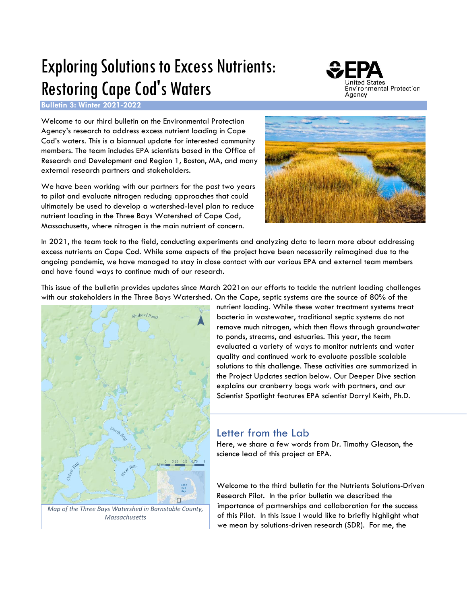# Exploring Solutions to Excess Nutrients: Restoring Cape Cod's Waters



**Bulletin 3: Winter 2021-2022**

Welcome to our third bulletin on the Environmental Protection Agency's research to address excess nutrient loading in Cape Cod's waters. This is a biannual update for interested community members. The team includes EPA scientists based in the Office of Research and Development and Region 1, Boston, MA, and many external research partners and stakeholders.

We have been working with our partners for the past two years to pilot and evaluate nitrogen reducing approaches that could ultimately be used to develop a watershed-level plan to reduce nutrient loading in the Three Bays Watershed of Cape Cod, Massachusetts, where nitrogen is the main nutrient of concern.



In 2021, the team took to the field, conducting experiments and analyzing data to learn more about addressing excess nutrients on Cape Cod. While some aspects of the project have been necessarily reimagined due to the ongoing pandemic, we have managed to stay in close contact with our various EPA and external team members and have found ways to continue much of our research.

This issue of the bulletin provides updates since March 2021on our efforts to tackle the nutrient loading challenges with our stakeholders in the Three Bays Watershed. On the Cape, septic systems are the source of 80% of the



nutrient loading. While these water treatment systems treat bacteria in wastewater, traditional septic systems do not remove much nitrogen, which then flows through groundwater to ponds, streams, and estuaries. This year, the team evaluated a variety of ways to monitor nutrients and water quality and continued work to evaluate possible scalable solutions to this challenge. These activities are summarized in the Project Updates section below. Our Deeper Dive section explains our cranberry bogs work with partners, and our Scientist Spotlight features EPA scientist Darryl Keith, Ph.D.

# Letter from the Lab

Here, we share a few words from Dr. Timothy Gleason, the science lead of this project at EPA.

Welcome to the third bulletin for the Nutrients Solutions-Driven Research Pilot. In the prior bulletin we described the importance of partnerships and collaboration for the success of this Pilot. In this issue I would like to briefly highlight what we mean by solutions-driven research (SDR). For me, the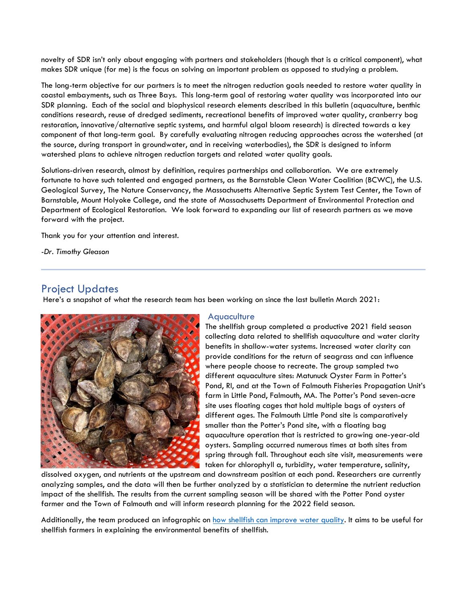novelty of SDR isn't only about engaging with partners and stakeholders (though that is a critical component), what makes SDR unique (for me) is the focus on solving an important problem as opposed to studying a problem.

The long-term objective for our partners is to meet the nitrogen reduction goals needed to restore water quality in coastal embayments, such as Three Bays. This long-term goal of restoring water quality was incorporated into our SDR planning. Each of the social and biophysical research elements described in this bulletin (aquaculture, benthic conditions research, reuse of dredged sediments, recreational benefits of improved water quality, cranberry bog restoration, innovative/alternative septic systems, and harmful algal bloom research) is directed towards a key component of that long-term goal. By carefully evaluating nitrogen reducing approaches across the watershed (at the source, during transport in groundwater, and in receiving waterbodies), the SDR is designed to inform watershed plans to achieve nitrogen reduction targets and related water quality goals.

Solutions-driven research, almost by definition, requires partnerships and collaboration. We are extremely fortunate to have such talented and engaged partners, as the Barnstable Clean Water Coalition (BCWC), the U.S. Geological Survey, The Nature Conservancy, the Massachusetts Alternative Septic System Test Center, the Town of Barnstable, Mount Holyoke College, and the state of Massachusetts Department of Environmental Protection and Department of Ecological Restoration. We look forward to expanding our list of research partners as we move forward with the project.

Thank you for your attention and interest.

*-Dr. Timothy Gleason*

# Project Updates

Here's a snapshot of what the research team has been working on since the last bulletin March 2021:



### **Aquaculture**

The shellfish group completed a productive 2021 field season collecting data related to shellfish aquaculture and water clarity benefits in shallow-water systems. Increased water clarity can provide conditions for the return of seagrass and can influence where people choose to recreate. The group sampled two different aquaculture sites: Matunuck Oyster Farm in Potter's Pond, RI, and at the Town of Falmouth Fisheries Propagation Unit's farm in Little Pond, Falmouth, MA. The Potter's Pond seven-acre site uses floating cages that hold multiple bags of oysters of different ages. The Falmouth Little Pond site is comparatively smaller than the Potter's Pond site, with a floating bag aquaculture operation that is restricted to growing one-year-old oysters. Sampling occurred numerous times at both sites from spring through fall. Throughout each site visit, measurements were taken for chlorophyll a, turbidity, water temperature, salinity,

dissolved oxygen, and nutrients at the upstream and downstream position at each pond. Researchers are currently analyzing samples, and the data will then be further analyzed by a statistician to determine the nutrient reduction impact of the shellfish. The results from the current sampling season will be shared with the Potter Pond oyster farmer and the Town of Falmouth and will inform research planning for the 2022 field season.

Additionally, the team produced an infographic on [how shellfish can improve water quality.](https://cfpub.epa.gov/si/si_public_record_report.cfm?dirEntryId=351693&Lab=CEMM&showcriteria=2&keyword=How+shellfish+can+help+improve&timstype=&timssubtypeid=&epanumber=&ombcat=Any&datebeginpublishedpresented=&dateendpublishedpresented=10/01/2021&datebeginupdated=&dateendupdated=&deid=&personname=Canfield&personid=&role=Any&journalname=&journalid=&publishername=&publisherid=&sortby=pubDate&count=25) It aims to be useful for shellfish farmers in explaining the environmental benefits of shellfish.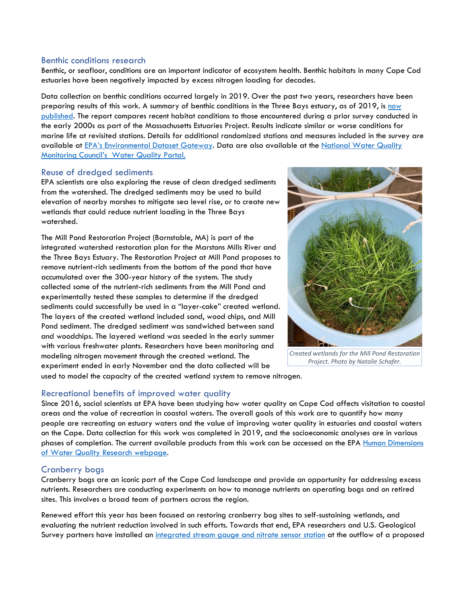### Benthic conditions research

Benthic, or seafloor, conditions are an important indicator of ecosystem health. Benthic habitats in many Cape Cod estuaries have been negatively impacted by excess nitrogen loading for decades.

Data collection on benthic conditions occurred largely in 2019. Over the past two years, researchers have been preparing results of this work. A summary of benthic conditions in the Three Bays estuary, as of 2019, is [now](https://doi.org/10.23719/1520968)  [published.](https://doi.org/10.23719/1520968) The report compares recent habitat conditions to those encountered during a prior survey conducted in the early 2000s as part of the Massachusetts Estuaries Project. Results indicate similar or worse conditions for marine life at revisited stations. Details for additional randomized stations and measures included in the survey are available at [EPA's Environmental Dataset Gateway](https://gcc02.safelinks.protection.outlook.com/?url=http%3A%2F%2Fdoi.org%2F10.23719%2F1520968&data=04%7C01%7CCanfield.Katherine%40epa.gov%7C505416ea51514ed8d90008d997ea47e5%7C88b378b367484867acf976aacbeca6a7%7C0%7C0%7C637707854744947167%7CUnknown%7CTWFpbGZsb3d8eyJWIjoiMC4wLjAwMDAiLCJQIjoiV2luMzIiLCJBTiI6Ik1haWwiLCJXVCI6Mn0%3D%7C1000&sdata=mRvTTm4gxQ1780sr%2Fj3x5i%2Bfy%2FfbwVrXypmLA%2FkpZGw%3D&reserved=0). Data are also available at the National Water Quality Monitoring Council's [Water Quality Portal.](https://gcc02.safelinks.protection.outlook.com/?url=http%3A%2F%2Fwww.waterqualitydata.us%2F&data=04%7C01%7CCanfield.Katherine%40epa.gov%7C505416ea51514ed8d90008d997ea47e5%7C88b378b367484867acf976aacbeca6a7%7C0%7C0%7C637707854744957124%7CUnknown%7CTWFpbGZsb3d8eyJWIjoiMC4wLjAwMDAiLCJQIjoiV2luMzIiLCJBTiI6Ik1haWwiLCJXVCI6Mn0%3D%7C1000&sdata=m%2FgpYQhEPHBLPu%2Bn%2F6WpSrFKhl0zqlFfZZtmYlKeCpc%3D&reserved=0)

### Reuse of dredged sediments

EPA scientists are also exploring the reuse of clean dredged sediments from the watershed. The dredged sediments may be used to build elevation of nearby marshes to mitigate sea level rise, or to create new wetlands that could reduce nutrient loading in the Three Bays watershed.

The Mill Pond Restoration Project (Barnstable, MA) is part of the integrated watershed restoration plan for the Marstons Mills River and the Three Bays Estuary. The Restoration Project at Mill Pond proposes to remove nutrient-rich sediments from the bottom of the pond that have accumulated over the 300-year history of the system. The study collected some of the nutrient-rich sediments from the Mill Pond and experimentally tested these samples to determine if the dredged sediments could successfully be used in a "layer-cake" created wetland. The layers of the created wetland included sand, wood chips, and Mill Pond sediment. The dredged sediment was sandwiched between sand and woodchips. The layered wetland was seeded in the early summer with various freshwater plants. Researchers have been monitoring and modeling nitrogen movement through the created wetland. The experiment ended in early November and the data collected will be



*Created wetlands for the Mill Pond Restoration Project. Photo by Natalie Schafer.*

used to model the capacity of the created wetland system to remove nitrogen.

# Recreational benefits of improved water quality

Since 2016, social scientists at EPA have been studying how water quality on Cape Cod affects visitation to coastal areas and the value of recreation in coastal waters. The overall goals of this work are to quantify how many people are recreating on estuary waters and the value of improving water quality in estuaries and coastal waters on the Cape. Data collection for this work was completed in 2019, and the socioeconomic analyses are in various phases of completion. The current available products from this work can be accessed on the EPA [Human Dimensions](https://www.epa.gov/water-research/human-dimensions-water-quality-research)  [of Water Quality Research webpage.](https://www.epa.gov/water-research/human-dimensions-water-quality-research)

# Cranberry bogs

Cranberry bogs are an iconic part of the Cape Cod landscape and provide an opportunity for addressing excess nutrients. Researchers are conducting experiments on how to manage nutrients on operating bogs and on retired sites. This involves a broad team of partners across the region.

Renewed effort this year has been focused on restoring cranberry bog sites to self-sustaining wetlands, and evaluating the nutrient reduction involved in such efforts. Towards that end, EPA researchers and U.S. Geological Survey partners have installed an [integrated stream gauge and nitrate sensor station](https://gcc02.safelinks.protection.outlook.com/?url=https%3A%2F%2Fwaterdata.usgs.gov%2Fnwis%2Fuv%2F%3Fsite_no%3D0110588332%26agency_cd%3DUSGS&data=04%7C01%7CCanfield.Katherine%40epa.gov%7C505416ea51514ed8d90008d997ea47e5%7C88b378b367484867acf976aacbeca6a7%7C0%7C0%7C637707854744957124%7CUnknown%7CTWFpbGZsb3d8eyJWIjoiMC4wLjAwMDAiLCJQIjoiV2luMzIiLCJBTiI6Ik1haWwiLCJXVCI6Mn0%3D%7C1000&sdata=1dOYdPFDXRz%2BrEiTDHQnzHVMIlYvomujlfXPmbNCzb0%3D&reserved=0) at the outflow of a proposed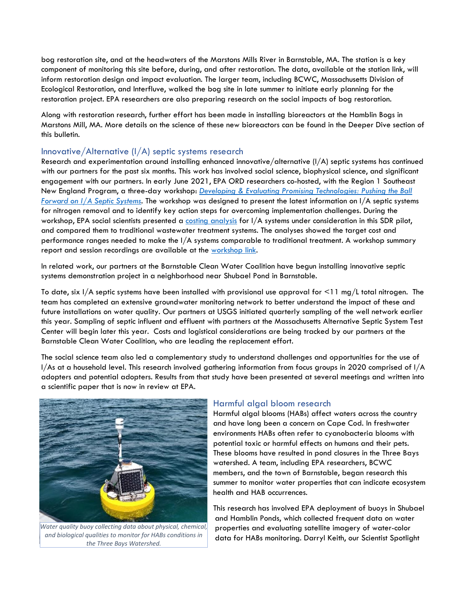bog restoration site, and at the headwaters of the Marstons Mills River in Barnstable, MA. The station is a key component of monitoring this site before, during, and after restoration. The data, available at the station link, will inform restoration design and impact evaluation. The larger team, including BCWC, Massachusetts Division of Ecological Restoration, and Interfluve, walked the bog site in late summer to initiate early planning for the restoration project. EPA researchers are also preparing research on the social impacts of bog restoration.

Along with restoration research, further effort has been made in installing bioreactors at the Hamblin Bogs in Marstons Mill, MA. More details on the science of these new bioreactors can be found in the Deeper Dive section of this bulletin.

# Innovative/Alternative (I/A) septic systems research

Research and experimentation around installing enhanced innovative/alternative  $I/A$ ) septic systems has continued with our partners for the past six months. This work has involved social science, biophysical science, and significant engagement with our partners. In early June 2021, EPA ORD researchers co-hosted, with the Region 1 Southeast New England Program, a three-day workshop: *[Developing & Evaluating Promising Technologies: Pushing the Ball](https://www.epa.gov/snep/developing-evaluating-promising-technologies-pushing-ball-forward-ia-septic-systems)  [Forward on I/A Septic Systems.](https://www.epa.gov/snep/developing-evaluating-promising-technologies-pushing-ball-forward-ia-septic-systems)* The workshop was designed to present the latest information on I/A septic systems for nitrogen removal and to identify key action steps for overcoming implementation challenges. During the workshop, EPA social scientists presented a [costing analysis](https://cfpub.epa.gov/si/si_public_record_report.cfm?dirEntryId=351866&Lab=CEMM&simplesearch=0&showcriteria=2&sortby=pubDate&searchall=merrill&timstype=Presentation&datebeginpublishedpresented=11/15/2019) for I/A systems under consideration in this SDR pilot, and compared them to traditional wastewater treatment systems. The analyses showed the target cost and performance ranges needed to make the I/A systems comparable to traditional treatment. A workshop summary report and session recordings are available at the [workshop link.](https://www.epa.gov/snep/developing-evaluating-promising-technologies-pushing-ball-forward-ia-septic-systems)

In related work, our partners at the Barnstable Clean Water Coalition have begun installing innovative septic systems demonstration project in a neighborhood near Shubael Pond in Barnstable.

To date, six I/A septic systems have been installed with provisional use approval for <11 mg/L total nitrogen. The team has completed an extensive groundwater monitoring network to better understand the impact of these and future installations on water quality. Our partners at USGS initiated quarterly sampling of the well network earlier this year. Sampling of septic influent and effluent with partners at the Massachusetts Alternative Septic System Test Center will begin later this year. Costs and logistical considerations are being tracked by our partners at the Barnstable Clean Water Coalition, who are leading the replacement effort.

The social science team also led a complementary study to understand challenges and opportunities for the use of I/As at a household level. This research involved gathering information from focus groups in 2020 comprised of I/A adopters and potential adopters. Results from that study have been presented at several meetings and written into a scientific paper that is now in review at EPA.



*Water quality buoy collecting data about physical, chemical, and biological qualities to monitor for HABs conditions in the Three Bays Watershed.*

# Harmful algal bloom research

Harmful algal blooms (HABs) affect waters across the country and have long been a concern on Cape Cod. In freshwater environments HABs often refer to cyanobacteria blooms with potential toxic or harmful effects on humans and their pets. These blooms have resulted in pond closures in the Three Bays watershed. A team, including EPA researchers, BCWC members, and the town of Barnstable, began research this summer to monitor water properties that can indicate ecosystem health and HAB occurrences.

This research has involved EPA deployment of buoys in Shubael and Hamblin Ponds, which collected frequent data on water properties and evaluating satellite imagery of water-color data for HABs monitoring. Darryl Keith, our Scientist Spotlight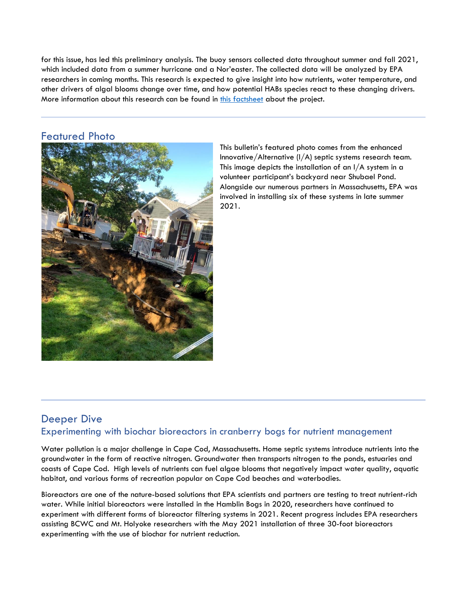for this issue, has led this preliminary analysis. The buoy sensors collected data throughout summer and fall 2021, which included data from a summer hurricane and a Nor'easter. The collected data will be analyzed by EPA researchers in coming months. This research is expected to give insight into how nutrients, water temperature, and other drivers of algal blooms change over time, and how potential HABs species react to these changing drivers. More information about this research can be found in [this factsheet](https://www.epa.gov/system/files/documents/2021-08/high-resolution-dynamics-of-habs_factsheet_8.11.21.final_.pdf) about the project.

# Featured Photo



This bulletin's featured photo comes from the enhanced Innovative/Alternative (I/A) septic systems research team. This image depicts the installation of an I/A system in a volunteer participant's backyard near Shubael Pond. Alongside our numerous partners in Massachusetts, EPA was involved in installing six of these systems in late summer 2021.

# Deeper Dive Experimenting with biochar bioreactors in cranberry bogs for nutrient management

Water pollution is a major challenge in Cape Cod, Massachusetts. Home septic systems introduce nutrients into the groundwater in the form of reactive nitrogen. Groundwater then transports nitrogen to the ponds, estuaries and coasts of Cape Cod. High levels of nutrients can fuel algae blooms that negatively impact water quality, aquatic habitat, and various forms of recreation popular on Cape Cod beaches and waterbodies.

Bioreactors are one of the nature-based solutions that EPA scientists and partners are testing to treat nutrient-rich water. While initial bioreactors were installed in the Hamblin Bogs in 2020, researchers have continued to experiment with different forms of bioreactor filtering systems in 2021. Recent progress includes EPA researchers assisting BCWC and Mt. Holyoke researchers with the May 2021 installation of three 30-foot bioreactors experimenting with the use of biochar for nutrient reduction.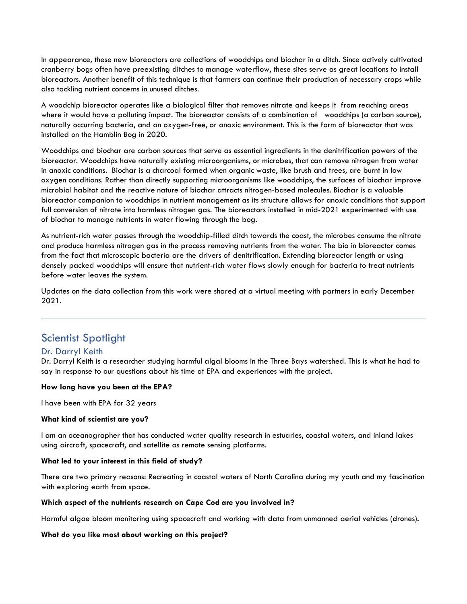In appearance, these new bioreactors are collections of woodchips and biochar in a ditch. Since actively cultivated cranberry bogs often have preexisting ditches to manage waterflow, these sites serve as great locations to install bioreactors. Another benefit of this technique is that farmers can continue their production of necessary crops while also tackling nutrient concerns in unused ditches.

A woodchip bioreactor operates like a biological filter that removes nitrate and keeps it from reaching areas where it would have a polluting impact. The bioreactor consists of a combination of woodchips (a carbon source), naturally occurring bacteria, and an oxygen-free, or anoxic environment. This is the form of bioreactor that was installed on the Hamblin Bog in 2020.

Woodchips and biochar are carbon sources that serve as essential ingredients in the denitrification powers of the bioreactor. Woodchips have naturally existing microorganisms, or microbes, that can remove nitrogen from water in anoxic conditions. Biochar is a charcoal formed when organic waste, like brush and trees, are burnt in low oxygen conditions. Rather than directly supporting microorganisms like woodchips, the surfaces of biochar improve microbial habitat and the reactive nature of biochar attracts nitrogen-based molecules. Biochar is a valuable bioreactor companion to woodchips in nutrient management as its structure allows for anoxic conditions that support full conversion of nitrate into harmless nitrogen gas. The bioreactors installed in mid-2021 experimented with use of biochar to manage nutrients in water flowing through the bog.

As nutrient-rich water passes through the woodchip-filled ditch towards the coast, the microbes consume the nitrate and produce harmless nitrogen gas in the process removing nutrients from the water. The bio in bioreactor comes from the fact that microscopic bacteria are the drivers of denitrification. Extending bioreactor length or using densely packed woodchips will ensure that nutrient-rich water flows slowly enough for bacteria to treat nutrients before water leaves the system.

Updates on the data collection from this work were shared at a virtual meeting with partners in early December 2021.

# Scientist Spotlight

# Dr. Darryl Keith

Dr. Darryl Keith is a researcher studying harmful algal blooms in the Three Bays watershed. This is what he had to say in response to our questions about his time at EPA and experiences with the project.

### **How long have you been at the EPA?**

I have been with EPA for 32 years

### **What kind of scientist are you?**

I am an oceanographer that has conducted water quality research in estuaries, coastal waters, and inland lakes using aircraft, spacecraft, and satellite as remote sensing platforms.

### **What led to your interest in this field of study?**

There are two primary reasons: Recreating in coastal waters of North Carolina during my youth and my fascination with exploring earth from space.

#### **Which aspect of the nutrients research on Cape Cod are you involved in?**

Harmful algae bloom monitoring using spacecraft and working with data from unmanned aerial vehicles (drones).

### **What do you like most about working on this project?**